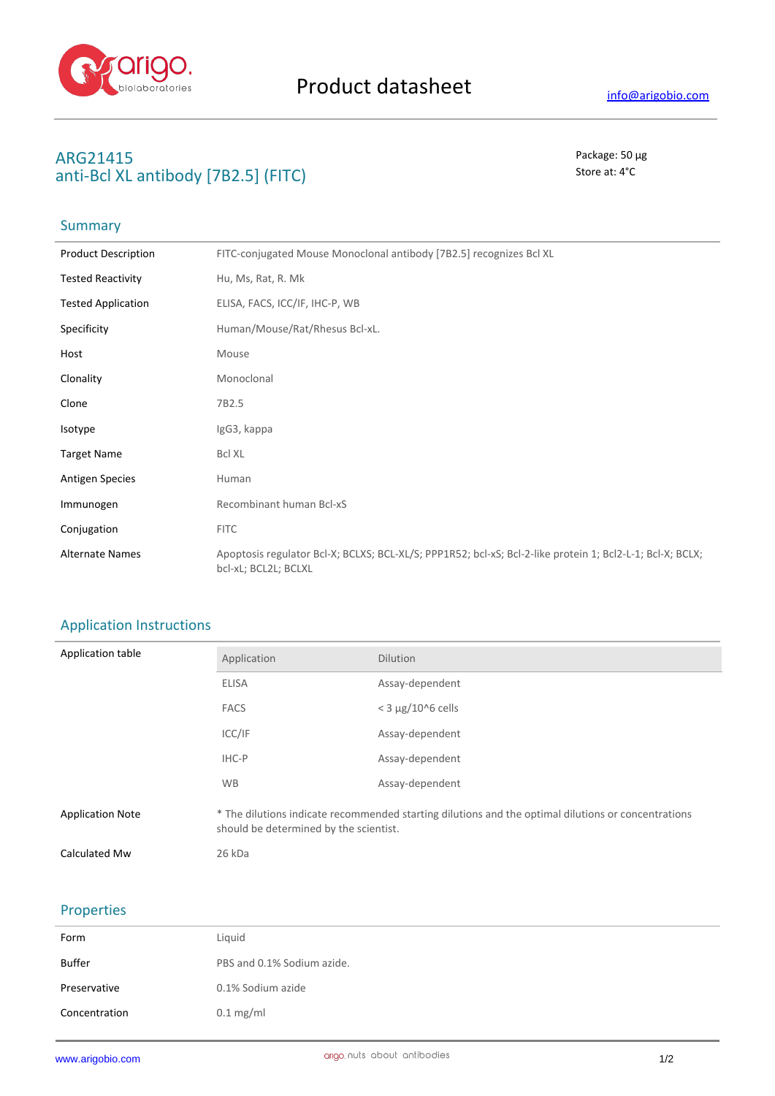

## **ARG21415** Package: 50 μg **anti-Bcl XL antibody [7B2.5] (FITC)** Store at: 4°C

# Summary

| <b>Product Description</b> | FITC-conjugated Mouse Monoclonal antibody [7B2.5] recognizes Bcl XL                                                               |
|----------------------------|-----------------------------------------------------------------------------------------------------------------------------------|
| <b>Tested Reactivity</b>   | Hu, Ms, Rat, R. Mk                                                                                                                |
| <b>Tested Application</b>  | ELISA, FACS, ICC/IF, IHC-P, WB                                                                                                    |
| Specificity                | Human/Mouse/Rat/Rhesus Bcl-xL.                                                                                                    |
| Host                       | Mouse                                                                                                                             |
| Clonality                  | Monoclonal                                                                                                                        |
| Clone                      | 7B2.5                                                                                                                             |
| Isotype                    | IgG3, kappa                                                                                                                       |
| <b>Target Name</b>         | <b>Bcl XL</b>                                                                                                                     |
| <b>Antigen Species</b>     | Human                                                                                                                             |
| Immunogen                  | Recombinant human Bcl-xS                                                                                                          |
| Conjugation                | <b>FITC</b>                                                                                                                       |
| <b>Alternate Names</b>     | Apoptosis regulator Bcl-X; BCLXS; BCL-XL/S; PPP1R52; bcl-xS; Bcl-2-like protein 1; Bcl2-L-1; Bcl-X; BCLX;<br>bcl-xL; BCL2L; BCLXL |

### Application Instructions

| Application table       | Application                                                                                                                                   | <b>Dilution</b>          |
|-------------------------|-----------------------------------------------------------------------------------------------------------------------------------------------|--------------------------|
|                         | <b>ELISA</b>                                                                                                                                  | Assay-dependent          |
|                         | <b>FACS</b>                                                                                                                                   | $<$ 3 $\mu$ g/10^6 cells |
|                         | ICC/IF                                                                                                                                        | Assay-dependent          |
|                         | IHC-P                                                                                                                                         | Assay-dependent          |
|                         | <b>WB</b>                                                                                                                                     | Assay-dependent          |
| <b>Application Note</b> | * The dilutions indicate recommended starting dilutions and the optimal dilutions or concentrations<br>should be determined by the scientist. |                          |
| Calculated Mw           | 26 kDa                                                                                                                                        |                          |

#### Properties

| Form          | Liquid                     |
|---------------|----------------------------|
| Buffer        | PBS and 0.1% Sodium azide. |
| Preservative  | 0.1% Sodium azide          |
| Concentration | $0.1$ mg/ml                |